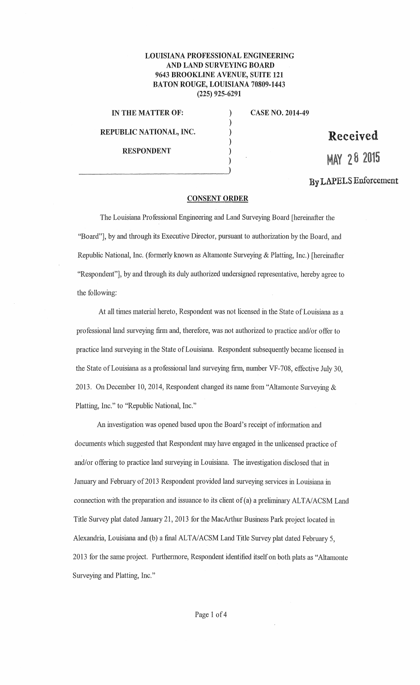## **LOUISIANA PROFESSIONAL ENGINEERING AND LAND SURVEYING BOARD 9643 BROOKLINE A VENUE, SUITE 121 BATON ROUGE, LOUISIANA 70809-1443 (225) 925-6291**

) ) ) ) ) )

**IN THE MATTER OF: REPUBLIC NATIONAL, INC. RESPONDENT** 

**CASE NO. 2014-49** 

**Received** 

**MAY 2 8 <sup>2015</sup>**

## **By LAPELS Enforcement**

## **CONSENT ORDER**

The Louisiana Professional Engineering and Land Surveying Board [hereinafter the "Board"], by and through its Executive Director, pursuant to authorization by the Board, and Republic National, Inc. (formerly known as Altamonte Surveying & Platting, Inc.) [hereinafter "Respondent"], by and through its duly authorized undersigned representative, hereby agree to the following:

At all times material hereto, Respondent was not licensed in the State of Louisiana as a professional land surveying firm and, therefore, was not authorized to practice and/or offer to practice land surveying in the State of Louisiana. Respondent subsequently became licensed in the State of Louisiana as a professional land surveying firm, number VF-708, effective July 30, 2013. On December 10, 2014, Respondent changed its name from "Altamonte Surveying & Platting, Inc." to "Republic National, Inc."

An investigation was opened based upon the Board's receipt of information and documents which suggested that Respondent may have engaged in the unlicensed practice of and/or offering to practice land surveying in Louisiana. The investigation disclosed that in January and February of 2013 Respondent provided land surveying services in Louisiana in connection with the preparation and issuance to its client of(a) a preliminary ALTA/ACSM Land Title Survey plat dated January 21, 2013 for the MacArthur Business Park project located in Alexandria, Louisiana and (b) a final ALTA/ACSM Land T\_itle Survey plat dated February *5,*  2013 for the same project. Furthermore, Respondent identified itself on both plats as "Altamonte Surveying and Platting, Inc."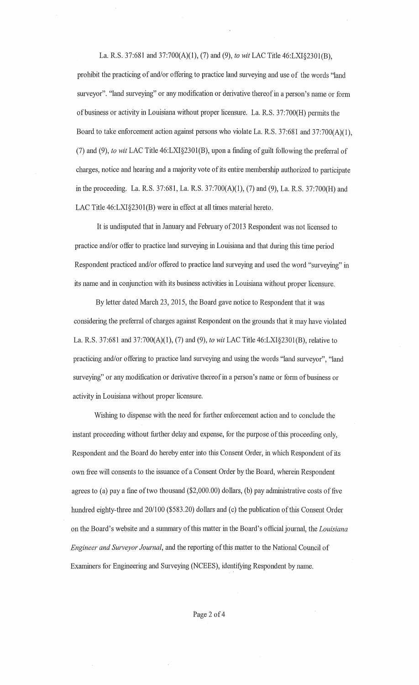La. R.S. 37:681 and 37:700(A)(l), (7) and (9), *to wit* LAC Title 46:LXI§2301(B), prohibit the practicing of and/or offering to practice land surveying and use of the words "land surveyor". "land surveying" or any modification or derivative thereof in a person's name or form of business or activity in Louisiana without proper licensure. La. R.S. 37:700(H) permits the Board to take enforcement action against persons who violate La. R.S. 37:681 and 37:700(A)(l), (7) and (9), *to wit* LAC Title 46:LXI§230l(B), upon a finding of guilt following the preferral of charges, notice and hearing and a majority vote of its entire membership authorized to participate in the proceeding. La. R.S. 37:681, La. R.S. 37:700(A)(l), (7) and (9), La. R.S. 37:700(H) and LAC Title 46:LXI§2301(B) were in effect at all times material hereto.

It is undisputed that in January and February of 2013 Respondent was not licensed to practice and/or offer to practice land surveying in Louisiana and that during this time period Respondent practiced and/or offered to practice land surveying and used the word "surveying" in its name and in conjunction with its business activities in Louisiana without proper licensure.

By letter dated March 23, 2015, the Board gave notice to Respondent that it was considering the preferral of charges against Respondent on the grounds that it may have violated La. R.S. 37:681 and 37:700(A)(l), (7) and (9), *to wit* LAC Title 46:LXI§2301(B), relative to practicing and/or offering to practice land surveying and using the words "land surveyor", "land surveying" or any modification or derivative thereof in a person's name or form of business or activity in Louisiana without proper licensure.

Wishing to dispense with the need for further enforcement action and to conclude the instant proceeding without farther delay and expense, for the purpose of this proceeding only, Respondent and the Board do hereby enter into this Consent Order, in which Respondent of its own free will consents to the issuance of a Consent Order by the Board, wherein Respondent agrees to (a) pay a fine of two thousand (\$2,000.00) dollars, (b) pay administrative costs of five hundred eighty-three and 20/100 (\$583.20) dollars and (c) the publication of this Consent Order on the Board's website and a summary of this matter in the Board's official journal, the *Louisiana Engineer and Surveyor Journal,* and the reporting of this matter to the National Council of Examiners for Engineering and Surveying (NCEES), identifying Respondent by name.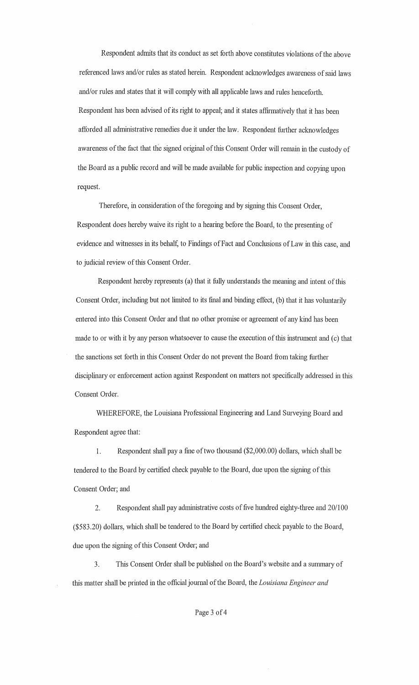Respondent admits that its conduct as set forth above constitutes violations of the above referenced laws and/or rules as stated herein. Respondent acknowledges awareness of said laws and/or rules and states that it will comply with all applicable laws and rules henceforth. Respondent has been advised of its right to appeal; and it states affirmatively that it has been afforded all administrative remedies due it under the law. Respondent further acknowledges awareness of the fact that the signed original of this Consent Order will remain in the custody of the Board as a public record and will be made available for public inspection and copying upon request.

Therefore, in consideration of the foregoing and by signing this Consent Order, Respondent does hereby waive its right to a hearing before the Board, to the presenting of evidence and witnesses in its behalf, to Findings of Fact and Conclusions of Law in this case, and to judicial review of this Consent Order.

Respondent hereby represents (a) that it fully understands the meaning and intent of this Consent Order, including but not limited to its final and binding effect, (b) that it has voluntarily entered into this Consent Order and that no other promise or agreement of any kind has been made to or with it by any person whatsoever to cause the execution of this instrument and (c) that the sanctions set forth in this Consent Order do not prevent the Board from taking farther disciplinary or enforcement action against Respondent on matters not specifically addressed in this Consent Order.

WHEREFORE, the Louisiana Professional Engineering and Land Surveying Board and Respondent agree that:

1. Respondent shall pay a fine of two thousand (\$2,000.00) dollars, which shall be tendered to the Board by certified check payable to the Board, due upon the signing of this Consent Order; and

2. Respondent shall pay administrative costs of five hundred eighty-three and 20/100 (\$583.20) dollars, which shall be tendered to the Board by certified check payable to the Board, due upon the signing of this Consent Order; and

3. This Consent Order shall be published on the Board's website and a summary of this matter shall be printed in the official journal of the Board, the *Louisiana Engineer and*